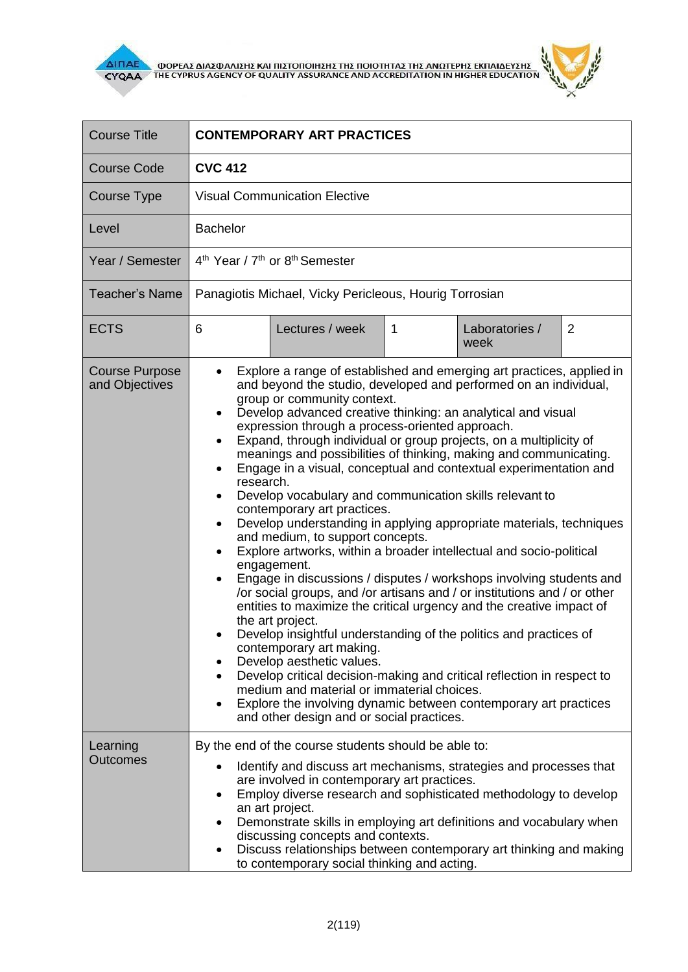

 $\overline{\Delta}$  (MOPEA) ANALO ANALO KALIBET ON THE CYPRUS AGENCY OF QUALITY ASSURANCE AND ACCREDITATION IN HIGHER EDUCATION



| <b>Course Title</b>                     | <b>CONTEMPORARY ART PRACTICES</b>                                                                                                                                                                                                                                                                                                                                                                                                                                                                                                                                                                                                                                                                                                                                                                                                                                                                                                                                                                                                                                                                                                                                                                                                                                                                                                                                                                                                                                                          |  |  |  |
|-----------------------------------------|--------------------------------------------------------------------------------------------------------------------------------------------------------------------------------------------------------------------------------------------------------------------------------------------------------------------------------------------------------------------------------------------------------------------------------------------------------------------------------------------------------------------------------------------------------------------------------------------------------------------------------------------------------------------------------------------------------------------------------------------------------------------------------------------------------------------------------------------------------------------------------------------------------------------------------------------------------------------------------------------------------------------------------------------------------------------------------------------------------------------------------------------------------------------------------------------------------------------------------------------------------------------------------------------------------------------------------------------------------------------------------------------------------------------------------------------------------------------------------------------|--|--|--|
| <b>Course Code</b>                      | <b>CVC 412</b>                                                                                                                                                                                                                                                                                                                                                                                                                                                                                                                                                                                                                                                                                                                                                                                                                                                                                                                                                                                                                                                                                                                                                                                                                                                                                                                                                                                                                                                                             |  |  |  |
| Course Type                             | <b>Visual Communication Elective</b>                                                                                                                                                                                                                                                                                                                                                                                                                                                                                                                                                                                                                                                                                                                                                                                                                                                                                                                                                                                                                                                                                                                                                                                                                                                                                                                                                                                                                                                       |  |  |  |
| Level                                   | <b>Bachelor</b>                                                                                                                                                                                                                                                                                                                                                                                                                                                                                                                                                                                                                                                                                                                                                                                                                                                                                                                                                                                                                                                                                                                                                                                                                                                                                                                                                                                                                                                                            |  |  |  |
| Year / Semester                         | 4 <sup>th</sup> Year / 7 <sup>th</sup> or 8 <sup>th</sup> Semester                                                                                                                                                                                                                                                                                                                                                                                                                                                                                                                                                                                                                                                                                                                                                                                                                                                                                                                                                                                                                                                                                                                                                                                                                                                                                                                                                                                                                         |  |  |  |
| Teacher's Name                          | Panagiotis Michael, Vicky Pericleous, Hourig Torrosian                                                                                                                                                                                                                                                                                                                                                                                                                                                                                                                                                                                                                                                                                                                                                                                                                                                                                                                                                                                                                                                                                                                                                                                                                                                                                                                                                                                                                                     |  |  |  |
| <b>ECTS</b>                             | 6<br>Lectures / week<br>$\mathbf{1}$<br>Laboratories /<br>2<br>week                                                                                                                                                                                                                                                                                                                                                                                                                                                                                                                                                                                                                                                                                                                                                                                                                                                                                                                                                                                                                                                                                                                                                                                                                                                                                                                                                                                                                        |  |  |  |
| <b>Course Purpose</b><br>and Objectives | Explore a range of established and emerging art practices, applied in<br>and beyond the studio, developed and performed on an individual,<br>group or community context.<br>Develop advanced creative thinking: an analytical and visual<br>٠<br>expression through a process-oriented approach.<br>Expand, through individual or group projects, on a multiplicity of<br>٠<br>meanings and possibilities of thinking, making and communicating.<br>Engage in a visual, conceptual and contextual experimentation and<br>research.<br>Develop vocabulary and communication skills relevant to<br>$\bullet$<br>contemporary art practices.<br>Develop understanding in applying appropriate materials, techniques<br>$\bullet$<br>and medium, to support concepts.<br>Explore artworks, within a broader intellectual and socio-political<br>engagement.<br>Engage in discussions / disputes / workshops involving students and<br>$\bullet$<br>/or social groups, and /or artisans and / or institutions and / or other<br>entities to maximize the critical urgency and the creative impact of<br>the art project.<br>Develop insightful understanding of the politics and practices of<br>contemporary art making.<br>Develop aesthetic values.<br>Develop critical decision-making and critical reflection in respect to<br>medium and material or immaterial choices.<br>Explore the involving dynamic between contemporary art practices<br>and other design and or social practices. |  |  |  |
| Learning<br><b>Outcomes</b>             | By the end of the course students should be able to:<br>Identify and discuss art mechanisms, strategies and processes that<br>٠<br>are involved in contemporary art practices.<br>Employ diverse research and sophisticated methodology to develop<br>an art project.<br>Demonstrate skills in employing art definitions and vocabulary when<br>٠<br>discussing concepts and contexts.<br>Discuss relationships between contemporary art thinking and making<br>to contemporary social thinking and acting.                                                                                                                                                                                                                                                                                                                                                                                                                                                                                                                                                                                                                                                                                                                                                                                                                                                                                                                                                                                |  |  |  |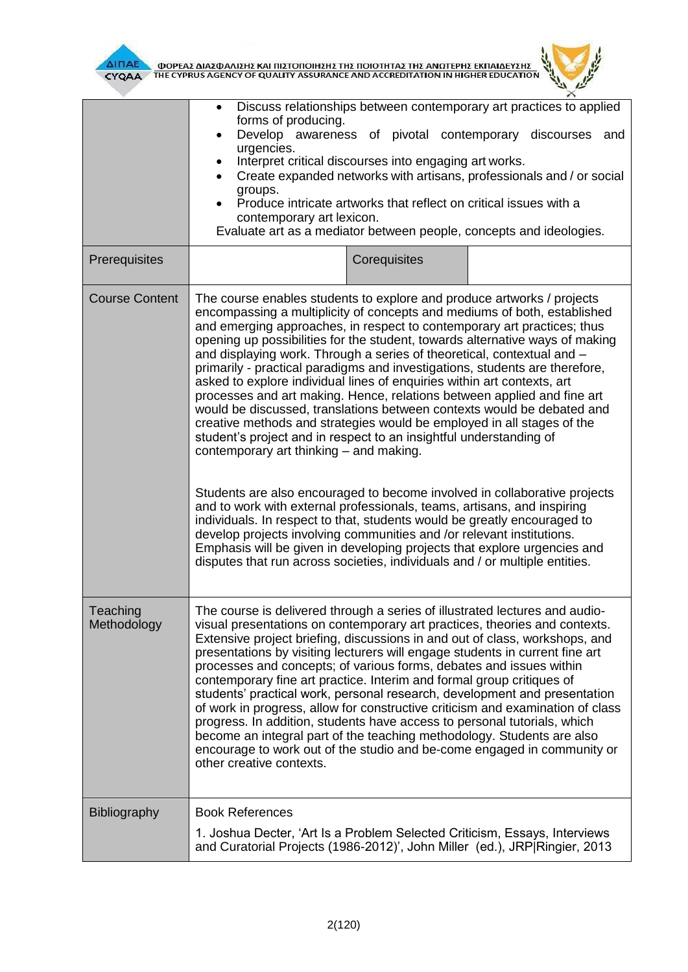



|                         | Discuss relationships between contemporary art practices to applied<br>forms of producing.<br>Develop awareness of pivotal contemporary discourses<br>and<br>$\bullet$<br>urgencies.<br>Interpret critical discourses into engaging art works.<br>$\bullet$<br>Create expanded networks with artisans, professionals and / or social<br>$\bullet$<br>groups.<br>Produce intricate artworks that reflect on critical issues with a<br>contemporary art lexicon.<br>Evaluate art as a mediator between people, concepts and ideologies.                                                                                                                                                                                                                                                                                                                                                                                                                                                                                                                                                                                                                                                                                                                                                                                                                                     |              |                                                                                |
|-------------------------|---------------------------------------------------------------------------------------------------------------------------------------------------------------------------------------------------------------------------------------------------------------------------------------------------------------------------------------------------------------------------------------------------------------------------------------------------------------------------------------------------------------------------------------------------------------------------------------------------------------------------------------------------------------------------------------------------------------------------------------------------------------------------------------------------------------------------------------------------------------------------------------------------------------------------------------------------------------------------------------------------------------------------------------------------------------------------------------------------------------------------------------------------------------------------------------------------------------------------------------------------------------------------------------------------------------------------------------------------------------------------|--------------|--------------------------------------------------------------------------------|
| Prerequisites           |                                                                                                                                                                                                                                                                                                                                                                                                                                                                                                                                                                                                                                                                                                                                                                                                                                                                                                                                                                                                                                                                                                                                                                                                                                                                                                                                                                           | Corequisites |                                                                                |
| <b>Course Content</b>   | The course enables students to explore and produce artworks / projects<br>encompassing a multiplicity of concepts and mediums of both, established<br>and emerging approaches, in respect to contemporary art practices; thus<br>opening up possibilities for the student, towards alternative ways of making<br>and displaying work. Through a series of theoretical, contextual and -<br>primarily - practical paradigms and investigations, students are therefore,<br>asked to explore individual lines of enquiries within art contexts, art<br>processes and art making. Hence, relations between applied and fine art<br>would be discussed, translations between contexts would be debated and<br>creative methods and strategies would be employed in all stages of the<br>student's project and in respect to an insightful understanding of<br>contemporary art thinking - and making.<br>Students are also encouraged to become involved in collaborative projects<br>and to work with external professionals, teams, artisans, and inspiring<br>individuals. In respect to that, students would be greatly encouraged to<br>develop projects involving communities and /or relevant institutions.<br>Emphasis will be given in developing projects that explore urgencies and<br>disputes that run across societies, individuals and / or multiple entities. |              |                                                                                |
| Teaching<br>Methodology | The course is delivered through a series of illustrated lectures and audio-<br>visual presentations on contemporary art practices, theories and contexts.<br>Extensive project briefing, discussions in and out of class, workshops, and<br>presentations by visiting lecturers will engage students in current fine art<br>processes and concepts; of various forms, debates and issues within<br>contemporary fine art practice. Interim and formal group critiques of<br>students' practical work, personal research, development and presentation<br>progress. In addition, students have access to personal tutorials, which<br>become an integral part of the teaching methodology. Students are also<br>encourage to work out of the studio and be-come engaged in community or<br>other creative contexts.                                                                                                                                                                                                                                                                                                                                                                                                                                                                                                                                                        |              | of work in progress, allow for constructive criticism and examination of class |
| <b>Bibliography</b>     | <b>Book References</b><br>1. Joshua Decter, 'Art Is a Problem Selected Criticism, Essays, Interviews<br>and Curatorial Projects (1986-2012)', John Miller (ed.), JRP Ringier, 2013                                                                                                                                                                                                                                                                                                                                                                                                                                                                                                                                                                                                                                                                                                                                                                                                                                                                                                                                                                                                                                                                                                                                                                                        |              |                                                                                |